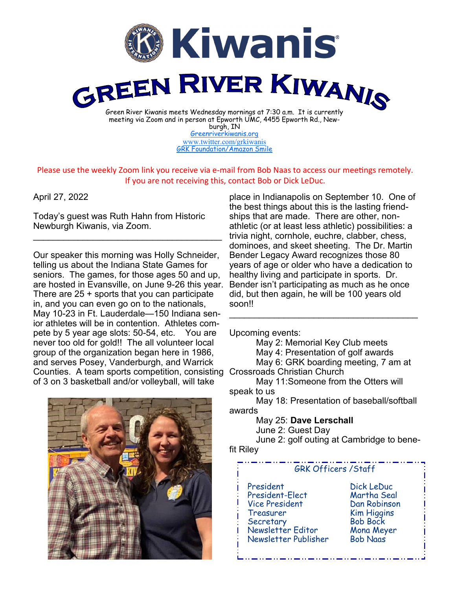

burgh, IN [Greenriverkiwanis.org](http://greenriverkiwanis.org/default.aspx) [www.twitter.com/grkiwanis](http://www.twitter.com/grkiwanis) [GRK Foundation/Amazon Smile](https://smile.amazon.com/ch/81-0946403)

Please use the weekly Zoom link you receive via e-mail from Bob Naas to access our meetings remotely. If you are not receiving this, contact Bob or Dick LeDuc.

## April 27, 2022

Today's guest was Ruth Hahn from Historic Newburgh Kiwanis, via Zoom.

 $\mathcal{L}_\text{max}$  , and the set of the set of the set of the set of the set of the set of the set of the set of the set of the set of the set of the set of the set of the set of the set of the set of the set of the set of the

Our speaker this morning was Holly Schneider, telling us about the Indiana State Games for seniors. The games, for those ages 50 and up, are hosted in Evansville, on June 9-26 this year. There are 25 + sports that you can participate in, and you can even go on to the nationals, May 10-23 in Ft. Lauderdale—150 Indiana senior athletes will be in contention. Athletes compete by 5 year age slots: 50-54, etc. You are never too old for gold!! The all volunteer local group of the organization began here in 1986, and serves Posey, Vanderburgh, and Warrick Counties. A team sports competition, consisting Crossroads Christian Church of 3 on 3 basketball and/or volleyball, will take

place in Indianapolis on September 10. One of the best things about this is the lasting friendships that are made. There are other, nonathletic (or at least less athletic) possibilities: a trivia night, cornhole, euchre, clabber, chess, dominoes, and skeet sheeting. The Dr. Martin Bender Legacy Award recognizes those 80 years of age or older who have a dedication to healthy living and participate in sports. Dr. Bender isn't participating as much as he once did, but then again, he will be 100 years old soon!!

Upcoming events:

May 2: Memorial Key Club meets

\_\_\_\_\_\_\_\_\_\_\_\_\_\_\_\_\_\_\_\_\_\_\_\_\_\_\_\_\_\_\_\_\_\_\_\_\_\_

May 4: Presentation of golf awards

May 6: GRK boarding meeting, 7 am at

May 11:Someone from the Otters will speak to us

May 18: Presentation of baseball/softball awards

May 25: **Dave Lerschall**

June 2: Guest Day

June 2: golf outing at Cambridge to benefit Riley

## GRK Officers /Staff

 President Dick LeDuc President-Elect Vice President Dan Robinson Treasurer Kim Higgins Secretary Bob Bock Newsletter Editor Mona Meyer Newsletter Publisher Bob Naas

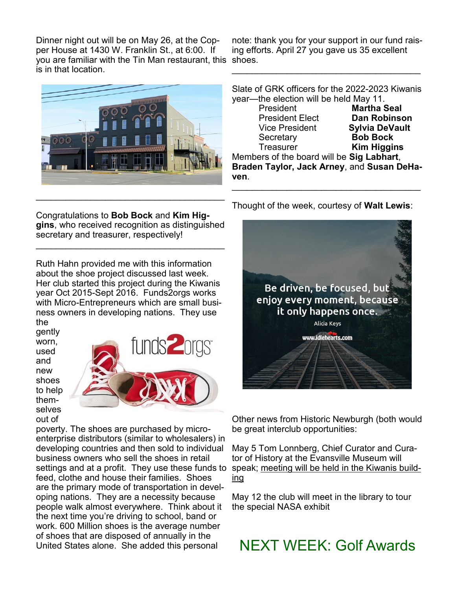Dinner night out will be on May 26, at the Copper House at 1430 W. Franklin St., at 6:00. If you are familiar with the Tin Man restaurant, this shoes. is in that location.

note: thank you for your support in our fund raising efforts. April 27 you gave us 35 excellent

\_\_\_\_\_\_\_\_\_\_\_\_\_\_\_\_\_\_\_\_\_\_\_\_\_\_\_\_\_\_\_\_\_\_\_\_\_\_



Slate of GRK officers for the 2022-2023 Kiwanis year—the election will be held May 11.

| President                                  | <b>Martha Seal</b>    |
|--------------------------------------------|-----------------------|
| <b>President Elect</b>                     | <b>Dan Robinson</b>   |
| <b>Vice President</b>                      | <b>Sylvia DeVault</b> |
| Secretary                                  | <b>Bob Bock</b>       |
| Treasurer                                  | <b>Kim Higgins</b>    |
| Members of the board will be Sig Labhart,  |                       |
| Braden Taylor, Jack Arney, and Susan DeHa- |                       |
| ven.                                       |                       |
|                                            |                       |

Congratulations to **Bob Bock** and **Kim Higgins**, who received recognition as distinguished secretary and treasurer, respectively!

\_\_\_\_\_\_\_\_\_\_\_\_\_\_\_\_\_\_\_\_\_\_\_\_\_\_\_\_\_\_\_\_\_\_\_\_\_\_

Ruth Hahn provided me with this information about the shoe project discussed last week. Her club started this project during the Kiwanis year Oct 2015-Sept 2016. Funds2orgs works with Micro-Entrepreneurs which are small business owners in developing nations. They use

the gently worn, used and new shoes to help themselves out of



poverty. The shoes are purchased by microenterprise distributors (similar to wholesalers) in developing countries and then sold to individual business owners who sell the shoes in retail settings and at a profit. They use these funds to feed, clothe and house their families. Shoes are the primary mode of transportation in developing nations. They are a necessity because people walk almost everywhere. Think about it the next time you're driving to school, band or work. 600 Million shoes is the average number of shoes that are disposed of annually in the United States alone. She added this personal

Thought of the week, courtesy of **Walt Lewis**:



Other news from Historic Newburgh (both would be great interclub opportunities:

May 5 Tom Lonnberg, Chief Curator and Curator of History at the Evansville Museum will speak; meeting will be held in the Kiwanis building

May 12 the club will meet in the library to tour the special NASA exhibit

NEXT WEEK: Golf Awards